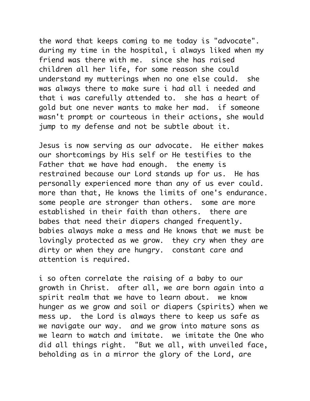the word that keeps coming to me today is "advocate". during my time in the hospital, i always liked when my friend was there with me. since she has raised children all her life, for some reason she could understand my mutterings when no one else could. she was always there to make sure i had all i needed and that i was carefully attended to. she has a heart of gold but one never wants to make her mad. if someone wasn't prompt or courteous in their actions, she would jump to my defense and not be subtle about it.

Jesus is now serving as our advocate. He either makes our shortcomings by His self or He testifies to the Father that we have had enough. the enemy is restrained because our Lord stands up for us. He has personally experienced more than any of us ever could. more than that, He knows the limits of one's endurance. some people are stronger than others. some are more established in their faith than others. there are babes that need their diapers changed frequently. babies always make a mess and He knows that we must be lovingly protected as we grow. they cry when they are dirty or when they are hungry. constant care and attention is required.

i so often correlate the raising of a baby to our growth in Christ. after all, we are born again into a spirit realm that we have to learn about. we know hunger as we grow and soil or diapers (spirits) when we mess up. the Lord is always there to keep us safe as we navigate our way. and we grow into mature sons as we learn to watch and imitate. we imitate the One who did all things right. "But we all, with unveiled face, beholding as in a mirror the glory of the Lord, are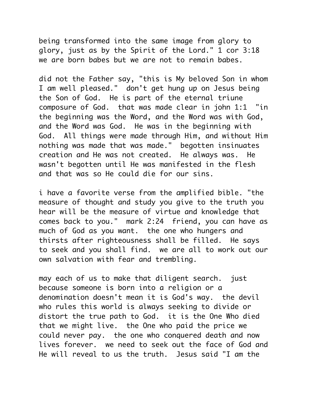being transformed into the same image from glory to glory, just as by the Spirit of the Lord." 1 cor 3:18 we are born babes but we are not to remain babes.

did not the Father say, "this is My beloved Son in whom I am well pleased." don't get hung up on Jesus being the Son of God. He is part of the eternal triune composure of God. that was made clear in john 1:1 "in the beginning was the Word, and the Word was with God, and the Word was God. He was in the beginning with God. All things were made through Him, and without Him nothing was made that was made." begotten insinuates creation and He was not created. He always was. He wasn't begotten until He was manifested in the flesh and that was so He could die for our sins.

i have a favorite verse from the amplified bible. "the measure of thought and study you give to the truth you hear will be the measure of virtue and knowledge that comes back to you." mark 2:24 friend, you can have as much of God as you want. the one who hungers and thirsts after righteousness shall be filled. He says to seek and you shall find. we are all to work out our own salvation with fear and trembling.

may each of us to make that diligent search. just because someone is born into a religion or a denomination doesn't mean it is God's way. the devil who rules this world is always seeking to divide or distort the true path to God. it is the One Who died that we might live. the One who paid the price we could never pay. the one who conquered death and now lives forever. we need to seek out the face of God and He will reveal to us the truth. Jesus said "I am the